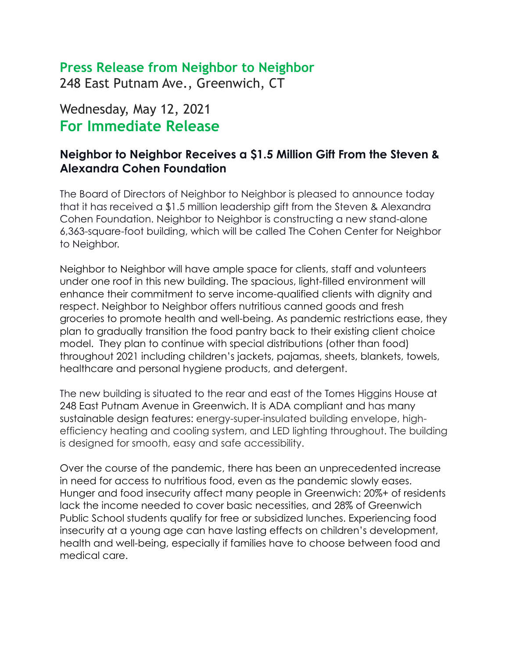## **Press Release from Neighbor to Neighbor**

248 East Putnam Ave., Greenwich, CT

# Wednesday, May 12, 2021 **For Immediate Release**

### **Neighbor to Neighbor Receives a \$1.5 Million Gift From the Steven & Alexandra Cohen Foundation**

The Board of Directors of Neighbor to Neighbor is pleased to announce today that it has received a \$1.5 million leadership gift from the Steven & Alexandra Cohen Foundation. Neighbor to Neighbor is constructing a new stand-alone 6,363-square-foot building, which will be called The Cohen Center for Neighbor to Neighbor.

Neighbor to Neighbor will have ample space for clients, staff and volunteers under one roof in this new building. The spacious, light-filled environment will enhance their commitment to serve income-qualified clients with dignity and respect. Neighbor to Neighbor offers nutritious canned goods and fresh groceries to promote health and well-being. As pandemic restrictions ease, they plan to gradually transition the food pantry back to their existing client choice model. They plan to continue with special distributions (other than food) throughout 2021 including children's jackets, pajamas, sheets, blankets, towels, healthcare and personal hygiene products, and detergent.

The new building is situated to the rear and east of the Tomes Higgins House at 248 East Putnam Avenue in Greenwich. It is ADA compliant and has many sustainable design features: energy-super-insulated building envelope, highefficiency heating and cooling system, and LED lighting throughout. The building is designed for smooth, easy and safe accessibility.

Over the course of the pandemic, there has been an unprecedented increase in need for access to nutritious food, even as the pandemic slowly eases. Hunger and food insecurity affect many people in Greenwich: 20%+ of residents lack the income needed to cover basic necessities, and 28% of Greenwich Public School students qualify for free or subsidized lunches. Experiencing food insecurity at a young age can have lasting effects on children's development, health and well-being, especially if families have to choose between food and medical care.